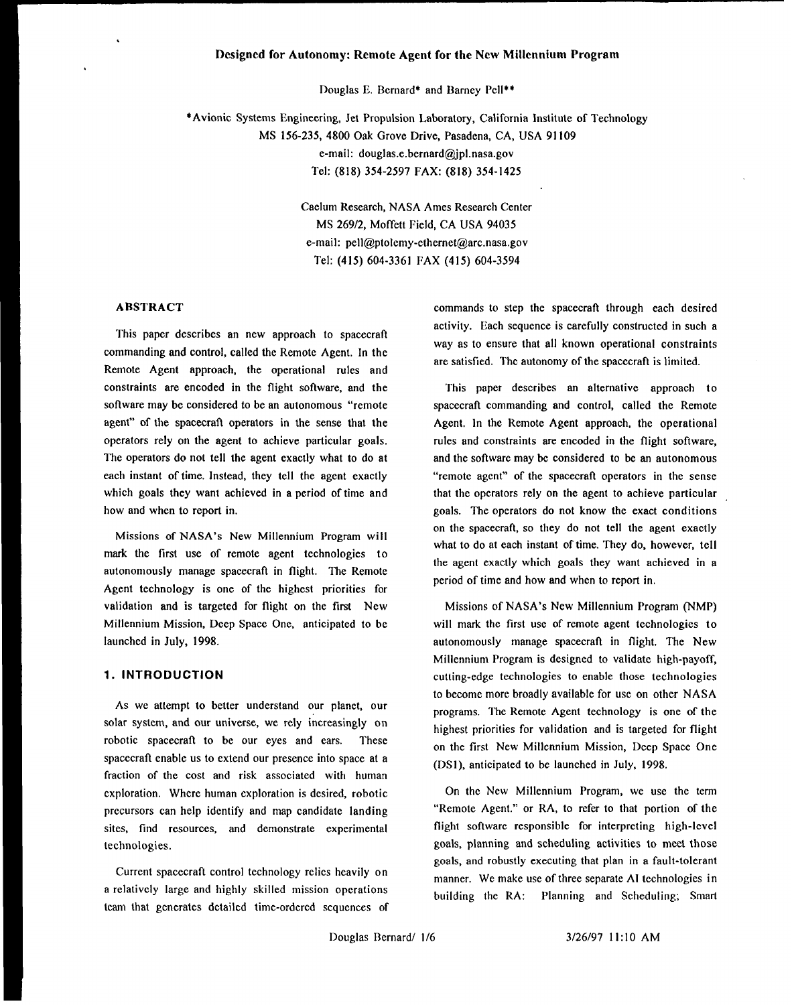### **I)esigncd for Autonomy: Remote Agent for the New Millennium Program**

Douglas E. Bernard\* and Barney Pell\*\*

\*Avionic Systems Engineering, Jet Propulsion Laboratory, California Institute of Technology MS 156-235, 4800 Oak Grove Drive, Pasadena, CA, USA 91109 e-mail: douglas.e.bernard@jpl. nasa.gov Tel: (818) 354-2597 FAX: (818) 354-1425

> Caelum Research, NASA Ames Research Center MS 269/2, Moffett Field, CA USA 94035 e-mail: pell@ptolemy-ethernet@arc.nasa.gov Tel: (415) 604-3361 FAX (415) 604-3594

# **ABSTRACT**

This paper describes an new approach to spacecraft commanding and control, called the Remote Agent. In the Remote Agent approach, the operational rules and constraints are encoded in the flight software, and the software may be considered to be an autonomous "remote agent" of the spacecraft operators in the sense that the operators rely on the agent to achieve particular goals. The operators do not tell the agent exactly what to do at each instant of time. Instead, they tell the agent exactly which goals they want achieved in a period of time and how and when to report in.

Missions of NASA's New Millennium Program will mark the first use of remote agent technologies to autonomously manage spacecraft in flight. The Remote Agent technology is one of the highest priorities for validation and is targeted for flight on the first New Millennium Mission, Deep Space One, anticipated to be launched in July, 1998.

### **1. INTRODUCTION**

As we attempt to better understand our planet, our solar system, and our universe, we rely increasingly on robotic spacecraft to be our eyes and ears. These spacecraft enable us to extend our presence into space at a fraction of the cost and risk associated with human exploration. Where human exploration is desired, robotic precursors can help identify and map candidate landing sites, find resources, and demonstrate experimental technologies.

Current spacecraft control technology relics heavily on a relatively large and highly skilled mission operations team that generates detailed time-ordered sequences of

commands to step the spacecraft through each desired activity. Each sequence is carefully constructed in such a way as to ensure that all known operational constraints are satisfied. The autonomy of the spacecraft is limited.

This paper describes an alternative approach to spacecraft commanding and control, called the Remote Agent, In the Remote Agent approach, the operational rules and constraints are encoded in the flight software, and the software may be considered to be an autonomous "remote agent" of the spacecratl operators in the sense that the operators rely on the agent to achieve particular goals. The operators do not know the exact conditions on the spacecraft, so they do not tell the agent exactly what to do at each instant of time. They do, however, tell the agent exactly which goals they want achieved in a period of time and how and when to report in.

Missions of NASA's New Millennium Program (NMP) will mark the first use of remote agent technologies to autonomously manage spacecraft in flight. The New Millennium Program is designed to validate high-payoff, cutting-edge technologies to enable those technologies to become more broadly available for use on other NASA programs. The Remote Agent technology is one of the highest priorities for validation and is targeted for flight on the first New Millennium Mission, Deep Space One (DS1), anticipated to be launched in July, 1998.

On the New Millennium Program, we use the term "Remote Agent." or RA, to refer to that portion of the flight software responsible for interpreting high-level goals, planning and scheduling activities to meet those goals, and robustly executing that plan in a fault-tolerant manner. We make use of three separate AI technologies in building the RA: Planning and Scheduling; Smart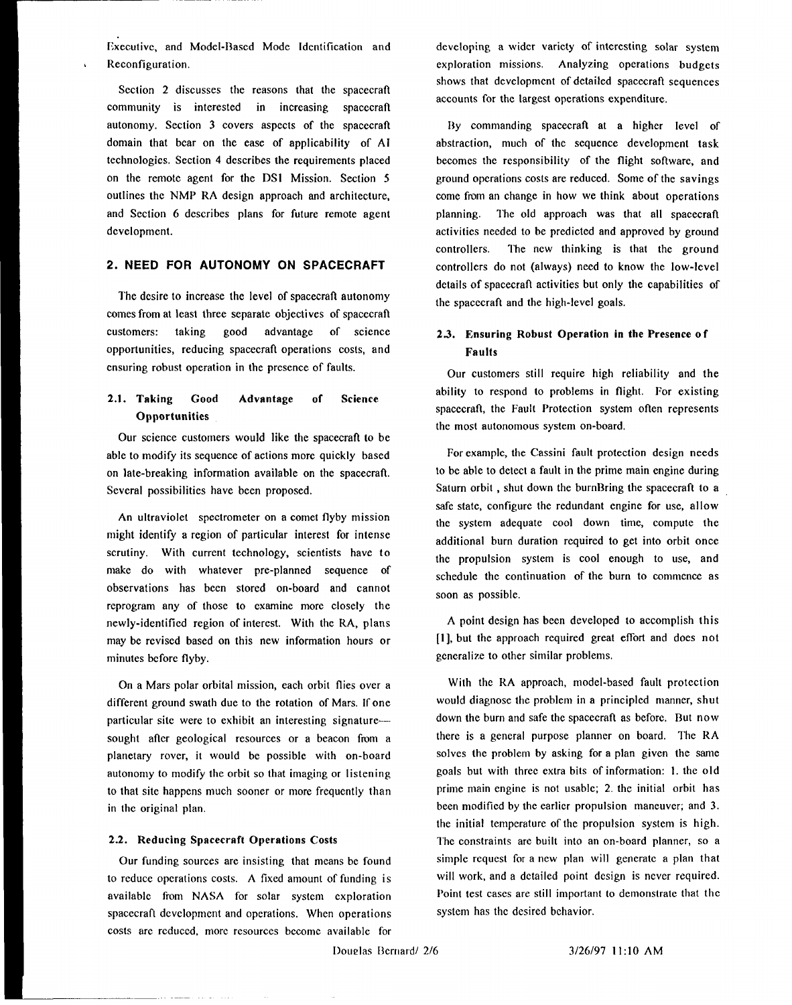Executive, and Model-Based Mode Identification and Reconfiguration.

Section 2 discusses the reasons that the spacecraft community is interested in increasing spacecraft autonomy. Section **3** covers aspects of the spacecratl domain that bear on the ease of applicability of AI technologies. Section 4 describes the requirements placed on the remote agent for the DSI Mission. Section 5 outlines the NMP RA design approach and architecture, and Section 6 describes plans for future remote agent development.

# 2. **NEED** FOR AUTONOMY ON SPACECRAFT

The desire to increase the level of spacecraft autonomy comes from at least three separate objectives of spacecraft customers: taking good advantage of science opportunities, reducing spacecraft operations costs, and ensuring robust operation in the presence of faults.

#### 2.1. **Taking Good Opportunities Advantage of Science**

**Our** science customers would like the spacecraft to be able to modify its sequence of actions more quickly based on late-breaking information available on the spacecraft. Several possibilities have been proposed.

An ultraviolet spectrometer on a comet flyby mission might identify a region of particular interest for intense scrutiny. With current technology, scientists have to make do with whatever pre-planned sequence of observations has been stored on-board and cannot reprogram any of those to examine more closely the newly-identified region of interest. With the RA, plans may be revised based on this new information hours or minutes before flyby.

On a Mars polar orbital mission, each orbit flies over a different ground swath due to the rotation of Mars. If one particular site were to exhibit an interesting signature sought after geological resources or a beacon from a planetary rover, it would be possible with on-board autonomy to modify the orbit so that imaging or Iistening to that site happens much sooner or more frequently than in the original plan.

### 2.2. Reducing Spacecraft **Operations Costs**

Our funding sources are insisting that means be found to reduce operations costs. A fixed amount of funding is available from NASA for solar system exploration spacecraft dcvclopmcnt and operations. When operations costs arc reduced, more resources bccomc available for developing a wider variety of interesting solar system exploration missions. Analyzing operations budgets shows that development of detailed spacecraft sequences accounts for the largest operations expenditure.

By commanding spacecraft at a higher level of abstraction, much of the sequence development task becomes the responsibility of the flight software, and ground operations costs are reduced. Some of the savings come from an change in how we think about operations planning. The old approach was that all spacecraft activities needed to be predicted and approved by ground controllers. The new thinking is that the ground controllers do not (always) need to know the low-level details of spacecratl activities but only the capabilities of the spacecraft and the high-level goals.

# 2.3. **Ensuring Robust Operation in the Presence o f Faults**

Our customers still require high reliability and the ability to respond to problems in flight. For existing spacecraft, the Fault Protection system often represents the most autonomous system on-board.

For example, the Cassini fault protection design needs to be able to detect a fault in the prime main engine during Saturn orbit , shut down the burnBring the spacecraft to a safe state, configure the redundant engine for use, allow the system adequate cool down time, compute the additional burn duration required to get into orbit once the propulsion system is cool enough to use, and schedule the continuation of the burn to commence as soon as possible.

A point design has been developed to accomplish this [1], but the approach required great effort and does not generalize to other similar problems.

With the RA approach, model-based fault protection would diagnose the problem in a principled manner, shut down the burn and safe the spacecraft as before. But now there is a general purpose planner on board. The RA solves the problem by asking for a plan given the same goals but with three extra bits of information: 1. the o Id prime main engine is not usable; 2. the initial orbit has been modified by the earlier propulsion maneuver; and 3. the initial temperature of the propulsion system is high. The constraints arc built into an on-board planner, so a simple request for a ncw plan will generate a plan that will work, and a detailed point design is never required. Point test cases are still important to demonstrate that the system has the desired behavior.

Douglas Bernard/ 2/6 3/26/97 11:10 AM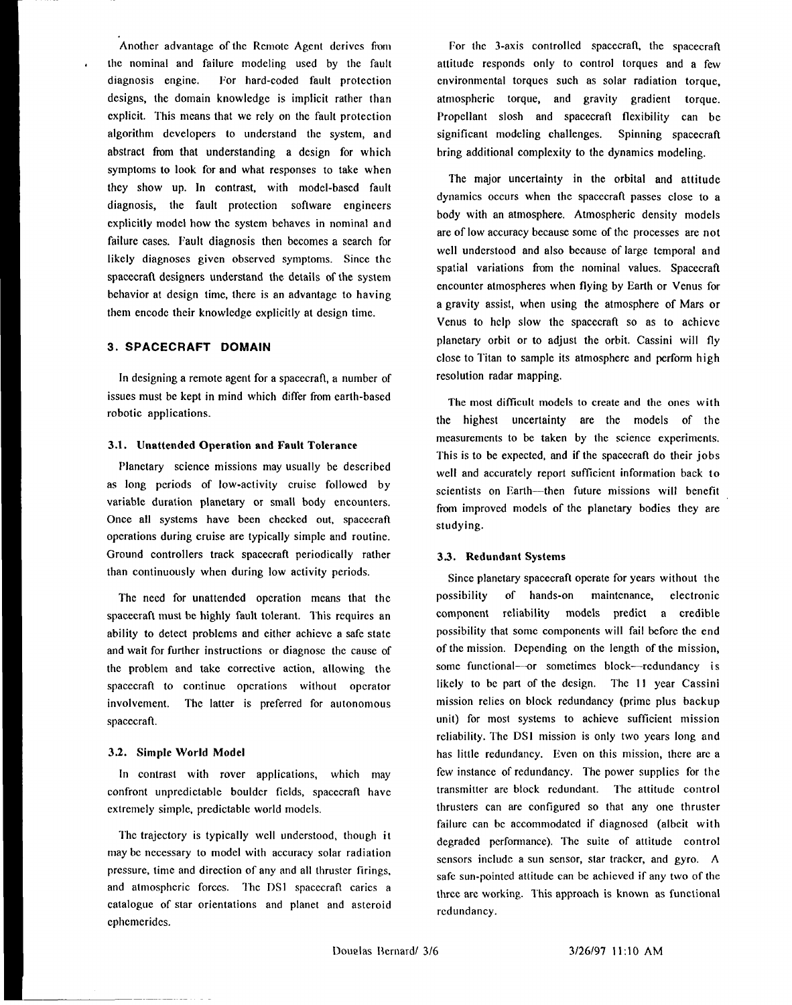Another advantage of the Remote Agent derives from the nominal and failure modeling used by the fault diagnosis engine. For hard-coded fault protection designs, the domain knowledge is implicit rather than explicit. This means that we rely on the fault protection algorithm developers to understand the system, and abstract from that understanding a design for which symptoms to look for and what responses to take when they show up. In contrast, with model-based fault diagnosis, the fault protection software engineers explicitly model how the system behaves in nominal and failure cases. Fault diagnosis then becomes a search for likely diagnoses given observed symptoms. Since the spacecraft designers understand the details of the system behavior at design time, there is an advantage to having them encode their knowledge explicitly at design time.

### 3. SPACECRAFT DOMAIN

In designing a remote agent for a spacecratl, a number of issues must be kept in mind which differ from earth-based robotic applications.

#### 3.1, **Unattended Operation and Fault Tolerance**

**Planetary** science missions may usually be described as long periods of low-activity cruise followed by variable duration planetary or small body encounters. Once all systems have been checked out, spacecraft operations during cruise are typically simple and routine. Ground controllers track spacecraft periodically rather than continuously when during low activity periods.

The need for unattended operation means that the spacecraft must be highly fault tolerant. This requires an ability to detect problems and either achieve a safe state and wait for further instructions or diagnose the cause of the problem and take corrective action, allowing the spacecraft to continue operations without operator involvement. The latter is preferred for autonomous spacecraft.

#### 3.2. **Simple World Model**

In contrast with rover applications, which may confront unpredictable boulder fields, spacecraft have extremely simple, predictable world models.

The trajectory is typically well understood, though it may bc necessary to model with accuracy solar radiation pressure, time and direction of any and all thruster firings, and atmospheric forces. The DS1 spacecraft caries a catalogue of star orientations and planet and asteroid cphcmeridcs.

For the 3-axis controlled spacecraft, the spacecraft attitude responds only to control torques and a few environmental torques such as solar radiation torque, atmospheric torque, and gravity gradient torque. Propellant slosh and spacecraft flexibility can be significant modeling challenges. Spinning spacecraft bring additional complexity to the dynamics modeling.

The major uncertainty in the orbital and attitude dynamics occurs when the spacecraft passes close to a body with an atmosphere. Atmospheric density models are of low accuracy because some of the processes are not well understood and also because of large temporal and spatial variations from the nominal values. Spacecraft encounter atmospheres when flying by Earth or Venus for a gravity assist, when using the atmosphere of Mars or Venus to help slow the spacecraft so as to achieve planetary orbit or to adjust the orbit. Cassini will fly close to Titan to sample its atmosphere and perform high resolution radar mapping.

The most diflicult models to create and the ones with the highest uncertainty are the models of the measurements to be taken by the science experiments. This is to be expected, and if the spacecraft do their jobs well and accurately report sufficient information back to scientists on Earth-then future missions will benefit from improved models of the planetary bodies they are studying.

#### 3.3. Redundant **Systems**

**Since** planetary spacecraft operate for years without the possibility of hands-on maintenance, electronic component reliability models predict a credible possibility that some components will fail before the end of the mission. Depending on the length of the mission, some functional---or sometimes block----redundancy is likely to bc part of the design. The 11 year Cassini mission relies on block redundancy (prime plus backup unit) for most systems to achieve sufficient mission reliability. The DSI mission is only two years long and has little redundancy. Even on this mission, there arc a few instance of redundancy. The power supplies for the transmitter are block redundant. The attitude control thrusters can are configured so that any one thruster failure can bc accommodated if diagnosed (albeit with degraded pcrfonnance). The suite of attitude control sensors include a sun sensor, star tracker, and gyro. A safe sun-pointed attitude can be achieved if any two of the three are working. This approach is known as functional redundancy.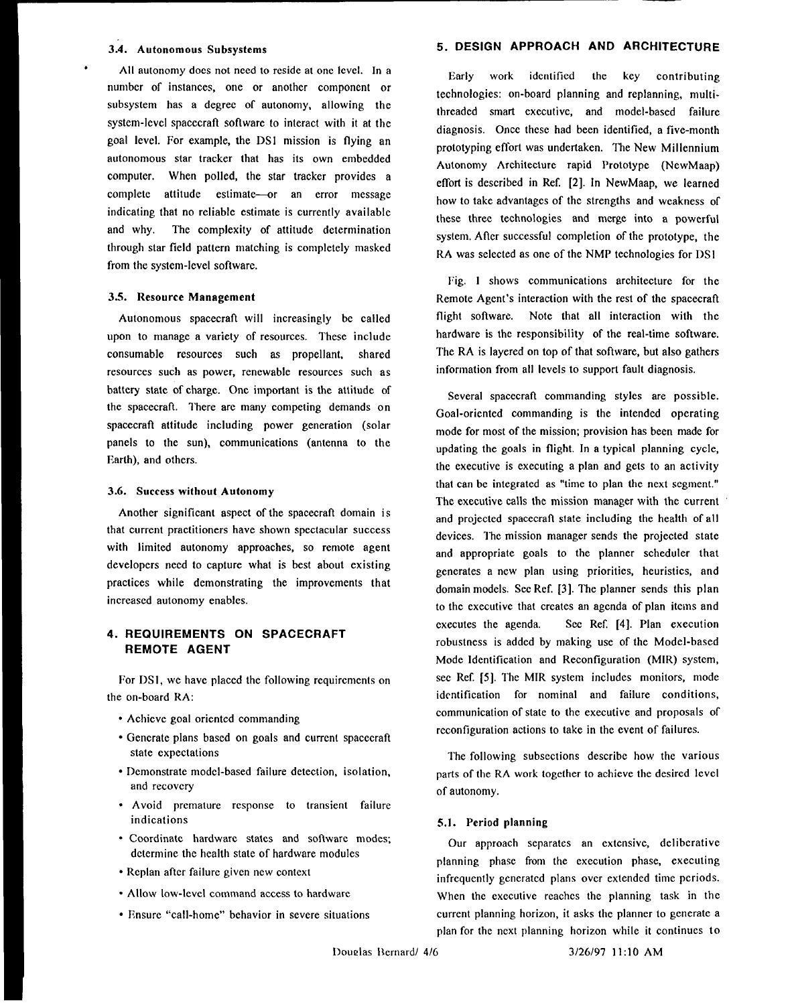#### 3.4. **Autonomous Subsystems**

All autonomy does not need to reside at one level. In a number of instances, one or another component or subsystem has a degree of autonomy, allowing the system-level spacecratl software to interact with it at the goal level. For example, the DS1 mission is flying an autonomous star tracker that has its own embedded computer. When polled, the star tracker provides a complete attitude estimate-or an error message indicating that no reliable estimate is currently available and why. The complexity of attitude determination through star field pattern matching is completely masked from the system-level software.

#### 3.S. **Resource Management**

Autonomous spacecraft will increasingly be called upon to manage a variety of resources. These include consumable resources such as propellant, shared resources such as power, renewable resources such as battery state of charge. One important is the attitude of the spacecraft. I'here are many competing demands on spacecraft attitude including power generation (solar panels to the sun), communications (antenna to the Earth), and others.

#### 3.6. **Success without Autonomy**

Another significant aspect of the spacecraft domain is that current practitioners have shown spectacular success with limited autonomy approaches, so remote agent developers need to capture what is best about existing practices while demonstrating the improvements that increased autonomy enables.

# 4. REQUIREMENTS ON SPACECRAFT REMOTE AGENT

For DS1, we have placed the following requirements on the on-board RA:

- . Achieve goal oriented commanding
- . Generate plans based on goals and current spacecraft state expectations
- . Demonstrate model-based failure detection, isolation, and recovery
- Avoid premature response to transient failure indications
- ✎ Coordinate hardware states and sotlware modes; determine the health state of hardware modules
- ✎ Replan after failure given new context
- ✎ Allow low-level command access to hardware
- ✎ Ensure "call-home" behavior in severe situations

# 5. DESIGN APPROACH AND ARCHITECTURE

Early work identified the key contributing technologies: on-board planning and replanning, multithreaded smart executive, and model-based failure diagnosis. Once these had been identified, a five-month prototyping effort was undertaken. The New Millennium Autonomy Architecture rapid Prototype (NewMaap) effort is described in Ref. [2]. In NewMaap, we learned how to take advantages of the strengths and weakness of these three technologies and merge into a powerful system, Atler successful completion of the prototype, the RA was selected as one of the NMP technologies for DS1

Fig. I shows communications architecture for the Remote Agent's interaction with the rest of the spacecraft flight software. Note that all interaction with the hardware is the responsibility of the real-time software. The RA is layered on top of that software, but also gathers information from all levels to support fault diagnosis.

Several spacecraft commanding styles are possible. Goal-oriented commanding is the intended operating mode for most of the mission; provision has been made for updating the goals in flight. In a typical planning cycle, the executive is executing a plan and gets to an activity that can bc integrated as "time to plan the next segment." The executive calls the mission manager with the current and projected spacecratl state including the health of all devices. The mission manager sends the projected state and appropriate goals to the planner scheduler that generates a ncw plan using priorities, heuristics, and domain models. See Ref. [3]. The planner sends this plan to the executive that creates an agenda of plan itcins and executes the agenda. See Ref. [4]. Plan execution robustness is added by making use of the Model-based Mode Identification and Reconfiguration (MIR) systcm, sec Ref. [5]. The MIR system includes monitors, mode identification for nominal and failure conditions, communication of state to the executive and proposals of reconfiguration actions to take in the event of failures.

The following subsections describe how the various parts of the RA work together to achieve the desired level of autonomy.

#### **S.1. Period planning**

Our approach separates an extensive, deliberative planning phase from the execution phase, executing infrequently generated plans over extended time periods. When the executive reaches the planning task in the current planning horizon, it asks the planner to generate a plan for the next planning horizon while it continues to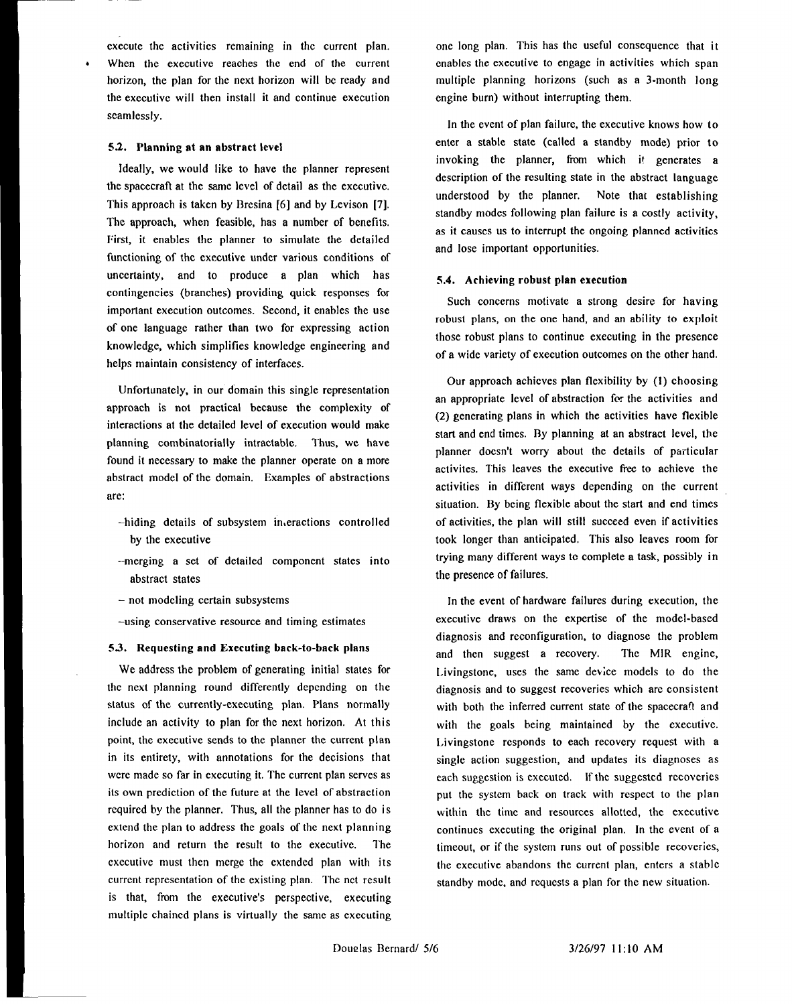execute the activities remaining in the current plan. When the executive reaches the end of the current horizon, the plan for the next horizon will be ready and the executive will then install it and continue execution seamlessly.

### 5.2. **Planning at an abstract level**

Ideally, we would like to have the planner represent the spacecraft at the same level of detail as the executive. This approach is taken by Bresina [6] and by Levison [7]. The approach, when feasible, has a number of benefits. First, it enables the planner to simulate the detailed functioning of the executive under various conditions of uncertainty, and to produce a plan which has contingencies (branches) providing quick responses for important execution outcomes. Second, it enables the use of one language rather than two for expressing action knowledge, which simplifies knowledge engineering and helps maintain consistency of interfaces.

Unfortunately, **in our d'omain this** single representation approach is not practical because the complexity of interactions at the detailed level of execution would make planning combinatorially intractable. Thus, we have found it necessary to make the planner operate on a more abstract model of the domain. Examples of abstractions are:

- –hiding details of subsystem interactions controlled by the executive
- --merging a set of detailed component states into abstract states
- not modeling certain subsystems
- –using conservative resource and timing estimates

### 5.3. Requesting **and Executing back-to-back plans**

We address the problem of generating initial states for the next planning round differently depending on the status of the currently-executing plan. Plans normally include an activity to plan for the next horizon. At this point, the executive sends to the planner the current plan in its entirety, with annotations for the decisions that were made so far in executing it, The current plan serves as its own prediction of the future at the level of abstraction required by the planner, Thus, all the planner has to do is extend the plan to address the goals of the next planning horizon and return the result to the executive. I'he executive must then merge the extended plan with its current representation of the existing plan. I'hc net result is that, from the executive's perspective, executing multiple chained plans is virtually the same as executing one long plan. This has the useful consequence that it enables the executive to engage in activities which span multiple planning horizons (such as a 3-month long engine burn) without interrupting them.

In the event of plan failure, the executive knows how to enter a stable state (called a standby mode) prior to invoking the planner, from which it generates a description of the resulting state in the abstract language understood by the planner. Note that establishing standby modes following plan failure is a costly activity, as it causes us to interrupt the ongoing planned activities and lose important opportunities.

#### S.4. **Achieving robust plan execution**

Such concerns motivate a strong desire for having robust plans, on the one hand, and an ability to exploit those robust plans to continue executing in the presence of a wide variety of execution outcomes on the other hand.

Our approach achieves plan flexibility by (1) choosing an appropriate level of abstraction for the activities and (2) generating plans in which the activities have flexible start and end times. By planning at an abstract level, the planner docsn't worry about the details of particular activites. This leaves the executive free to achieve the activities in different ways depending on the current situation. By being flexible about the start and end times of activities, the plan will still succeed even if activities took longer than anticipated. This also leaves room for trying many different ways te complete a task, possibly in the presence of failures.

In the event of hardware failures during execution, the executive draws on the expertise of the model-based diagnosis and reconfiguration, to diagnose the problem and then suggest a recovery. The MIR engine, Livingstone, uses the same device models to do the diagnosis and to suggest recoveries which are consistent with both the inferred current state of the spacecraft and with the goals being maintained by the executive. Livingstone responds to each recovery request with a single action suggestion, and updates its diagnoses as each suggestion is executed. If the suggested recoveries put the system back on track with respect to the plan within the time and resources allotted, the executive continues executing the original plan. In the event of a timeout, or if the system runs out of possible recoveries, the executive abandons the current plan, enters a stable standby mode, and requests a plan for the new situation.